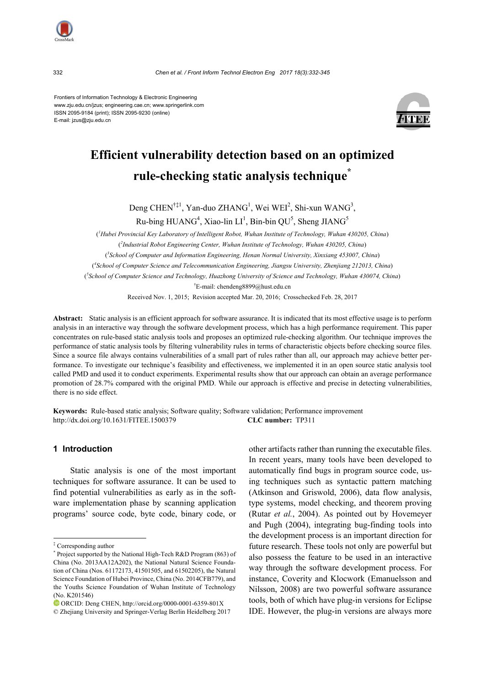

332 *Chen et al. / Front Inform Technol Electron Eng 2017 18(3):332-345* 

Frontiers of Information Technology & Electronic Engineering www.zju.edu.cn/jzus; engineering.cae.cn; www.springerlink.com ISSN 2095-9184 (print); ISSN 2095-9230 (online) E-mail: jzus@zju.edu.cn



# **Efficient vulnerability detection based on an optimized rule-checking static analysis technique\***

Deng CHEN<sup>†‡1</sup>, Yan-duo ZHANG<sup>1</sup>, Wei WEI<sup>2</sup>, Shi-xun WANG<sup>3</sup>,

Ru-bing HUANG<sup>4</sup>, Xiao-lin LI<sup>1</sup>, Bin-bin QU<sup>5</sup>, Sheng JIANG<sup>5</sup>

( *1 Hubei Provincial Key Laboratory of Intelligent Robot, Wuhan Institute of Technology, Wuhan 430205, China*) ( *2 Industrial Robot Engineering Center, Wuhan Institute of Technology, Wuhan 430205, China*) ( *3 School of Computer and Information Engineering, Henan Normal University, Xinxiang 453007, China*) ( *4 School of Computer Science and Telecommunication Engineering, Jiangsu University, Zhenjiang 212013, China*) ( *5 School of Computer Science and Technology, Huazhong University of Science and Technology, Wuhan 430074, China*) † E-mail: chendeng8899@hust.edu.cn

Received Nov. 1, 2015; Revision accepted Mar. 20, 2016; Crosschecked Feb. 28, 2017

**Abstract:** Static analysis is an efficient approach for software assurance. It is indicated that its most effective usage is to perform analysis in an interactive way through the software development process, which has a high performance requirement. This paper concentrates on rule-based static analysis tools and proposes an optimized rule-checking algorithm. Our technique improves the performance of static analysis tools by filtering vulnerability rules in terms of characteristic objects before checking source files. Since a source file always contains vulnerabilities of a small part of rules rather than all, our approach may achieve better performance. To investigate our technique's feasibility and effectiveness, we implemented it in an open source static analysis tool called PMD and used it to conduct experiments. Experimental results show that our approach can obtain an average performance promotion of 28.7% compared with the original PMD. While our approach is effective and precise in detecting vulnerabilities, there is no side effect.

**Keywords:**Rule-based static analysis; Software quality; Software validation; Performance improvement http://dx.doi.org/10.1631/FITEE.1500379 **CLC number:** TP311

# **1 Introduction**

Static analysis is one of the most important techniques for software assurance. It can be used to find potential vulnerabilities as early as in the software implementation phase by scanning application programs' source code, byte code, binary code, or other artifacts rather than running the executable files. In recent years, many tools have been developed to automatically find bugs in program source code, using techniques such as syntactic pattern matching (Atkinson and Griswold, 2006), data flow analysis, type systems, model checking, and theorem proving (Rutar *et al.*, 2004). As pointed out by Hovemeyer and Pugh (2004), integrating bug-finding tools into the development process is an important direction for future research. These tools not only are powerful but also possess the feature to be used in an interactive way through the software development process. For instance, Coverity and Klocwork (Emanuelsson and Nilsson, 2008) are two powerful software assurance tools, both of which have plug-in versions for Eclipse IDE. However, the plug-in versions are always more

<sup>‡</sup> Corresponding author

<sup>\*</sup> Project supported by the National High-Tech R&D Program (863) of China (No. 2013AA12A202), the National Natural Science Foundation of China (Nos. 61172173, 41501505, and 61502205), the Natural Science Foundation of Hubei Province, China (No. 2014CFB779), and the Youths Science Foundation of Wuhan Institute of Technology (No. K201546)

ORCID: Deng CHEN, http://orcid.org/0000-0001-6359-801X

<sup>©</sup> Zhejiang University and Springer-Verlag Berlin Heidelberg 2017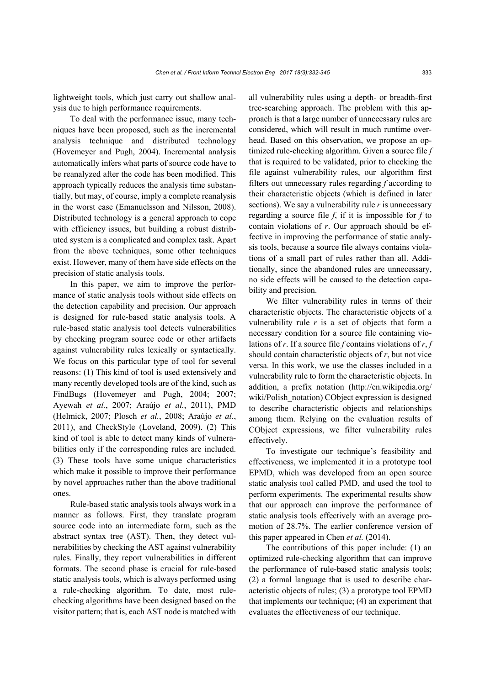lightweight tools, which just carry out shallow analysis due to high performance requirements.

To deal with the performance issue, many techniques have been proposed, such as the incremental analysis technique and distributed technology (Hovemeyer and Pugh, 2004). Incremental analysis automatically infers what parts of source code have to be reanalyzed after the code has been modified. This approach typically reduces the analysis time substantially, but may, of course, imply a complete reanalysis in the worst case (Emanuelsson and Nilsson, 2008). Distributed technology is a general approach to cope with efficiency issues, but building a robust distributed system is a complicated and complex task. Apart from the above techniques, some other techniques exist. However, many of them have side effects on the precision of static analysis tools.

In this paper, we aim to improve the performance of static analysis tools without side effects on the detection capability and precision. Our approach is designed for rule-based static analysis tools. A rule-based static analysis tool detects vulnerabilities by checking program source code or other artifacts against vulnerability rules lexically or syntactically. We focus on this particular type of tool for several reasons: (1) This kind of tool is used extensively and many recently developed tools are of the kind, such as FindBugs (Hovemeyer and Pugh, 2004; 2007; Ayewah *et al.*, 2007; Araújo *et al.*, 2011), PMD (Helmick, 2007; Plosch *et al.*, 2008; Araújo *et al.*, 2011), and CheckStyle (Loveland, 2009). (2) This kind of tool is able to detect many kinds of vulnerabilities only if the corresponding rules are included. (3) These tools have some unique characteristics which make it possible to improve their performance by novel approaches rather than the above traditional ones.

Rule-based static analysis tools always work in a manner as follows. First, they translate program source code into an intermediate form, such as the abstract syntax tree (AST). Then, they detect vulnerabilities by checking the AST against vulnerability rules. Finally, they report vulnerabilities in different formats. The second phase is crucial for rule-based static analysis tools, which is always performed using a rule-checking algorithm. To date, most rulechecking algorithms have been designed based on the visitor pattern; that is, each AST node is matched with

all vulnerability rules using a depth- or breadth-first tree-searching approach. The problem with this approach is that a large number of unnecessary rules are considered, which will result in much runtime overhead. Based on this observation, we propose an optimized rule-checking algorithm. Given a source file *f* that is required to be validated, prior to checking the file against vulnerability rules, our algorithm first filters out unnecessary rules regarding *f* according to their characteristic objects (which is defined in later sections). We say a vulnerability rule *r* is unnecessary regarding a source file *f*, if it is impossible for *f* to contain violations of *r*. Our approach should be effective in improving the performance of static analysis tools, because a source file always contains violations of a small part of rules rather than all. Additionally, since the abandoned rules are unnecessary, no side effects will be caused to the detection capability and precision.

We filter vulnerability rules in terms of their characteristic objects. The characteristic objects of a vulnerability rule  $r$  is a set of objects that form a necessary condition for a source file containing violations of *r*. If a source file *f* contains violations of *r*, *f* should contain characteristic objects of *r*, but not vice versa. In this work, we use the classes included in a vulnerability rule to form the characteristic objects. In addition, a prefix notation (http://en.wikipedia.org/ wiki/Polish\_notation) CObject expression is designed to describe characteristic objects and relationships among them. Relying on the evaluation results of CObject expressions, we filter vulnerability rules effectively.

To investigate our technique's feasibility and effectiveness, we implemented it in a prototype tool EPMD, which was developed from an open source static analysis tool called PMD, and used the tool to perform experiments. The experimental results show that our approach can improve the performance of static analysis tools effectively with an average promotion of 28.7%. The earlier conference version of this paper appeared in Chen *et al.* (2014).

The contributions of this paper include: (1) an optimized rule-checking algorithm that can improve the performance of rule-based static analysis tools; (2) a formal language that is used to describe characteristic objects of rules; (3) a prototype tool EPMD that implements our technique; (4) an experiment that evaluates the effectiveness of our technique.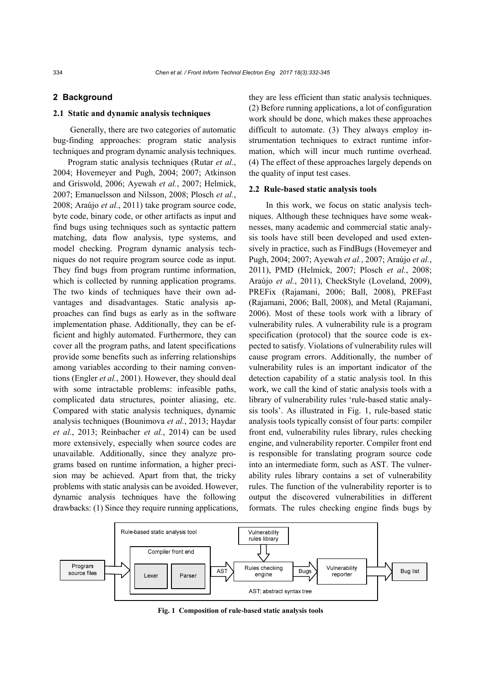# **2 Background**

#### **2.1 Static and dynamic analysis techniques**

Generally, there are two categories of automatic bug-finding approaches: program static analysis techniques and program dynamic analysis techniques.

Program static analysis techniques (Rutar *et al.*, 2004; Hovemeyer and Pugh, 2004; 2007; Atkinson and Griswold, 2006; Ayewah *et al.*, 2007; Helmick, 2007; Emanuelsson and Nilsson, 2008; Plosch *et al.*, 2008; Araújo *et al.*, 2011) take program source code, byte code, binary code, or other artifacts as input and find bugs using techniques such as syntactic pattern matching, data flow analysis, type systems, and model checking. Program dynamic analysis techniques do not require program source code as input. They find bugs from program runtime information, which is collected by running application programs. The two kinds of techniques have their own advantages and disadvantages. Static analysis approaches can find bugs as early as in the software implementation phase. Additionally, they can be efficient and highly automated. Furthermore, they can cover all the program paths, and latent specifications provide some benefits such as inferring relationships among variables according to their naming conventions (Engler *et al.*, 2001). However, they should deal with some intractable problems: infeasible paths, complicated data structures, pointer aliasing, etc. Compared with static analysis techniques, dynamic analysis techniques (Bounimova *et al.*, 2013; Haydar *et al.*, 2013; Reinbacher *et al.*, 2014) can be used more extensively, especially when source codes are unavailable. Additionally, since they analyze programs based on runtime information, a higher precision may be achieved. Apart from that, the tricky problems with static analysis can be avoided. However, dynamic analysis techniques have the following drawbacks: (1) Since they require running applications, they are less efficient than static analysis techniques. (2) Before running applications, a lot of configuration work should be done, which makes these approaches difficult to automate. (3) They always employ instrumentation techniques to extract runtime information, which will incur much runtime overhead. (4) The effect of these approaches largely depends on the quality of input test cases.

#### **2.2 Rule-based static analysis tools**

In this work, we focus on static analysis techniques. Although these techniques have some weaknesses, many academic and commercial static analysis tools have still been developed and used extensively in practice, such as FindBugs (Hovemeyer and Pugh, 2004; 2007; Ayewah *et al.*, 2007; Araújo *et al.*, 2011), PMD (Helmick, 2007; Plosch *et al.*, 2008; Araújo *et al.*, 2011), CheckStyle (Loveland, 2009), PREFix (Rajamani, 2006; Ball, 2008), PREFast (Rajamani, 2006; Ball, 2008), and Metal (Rajamani, 2006). Most of these tools work with a library of vulnerability rules. A vulnerability rule is a program specification (protocol) that the source code is expected to satisfy. Violations of vulnerability rules will cause program errors. Additionally, the number of vulnerability rules is an important indicator of the detection capability of a static analysis tool. In this work, we call the kind of static analysis tools with a library of vulnerability rules 'rule-based static analysis tools'. As illustrated in Fig. 1, rule-based static analysis tools typically consist of four parts: compiler front end, vulnerability rules library, rules checking engine, and vulnerability reporter. Compiler front end is responsible for translating program source code into an intermediate form, such as AST. The vulnerability rules library contains a set of vulnerability rules. The function of the vulnerability reporter is to output the discovered vulnerabilities in different formats. The rules checking engine finds bugs by



**Fig. 1 Composition of rule-based static analysis tools**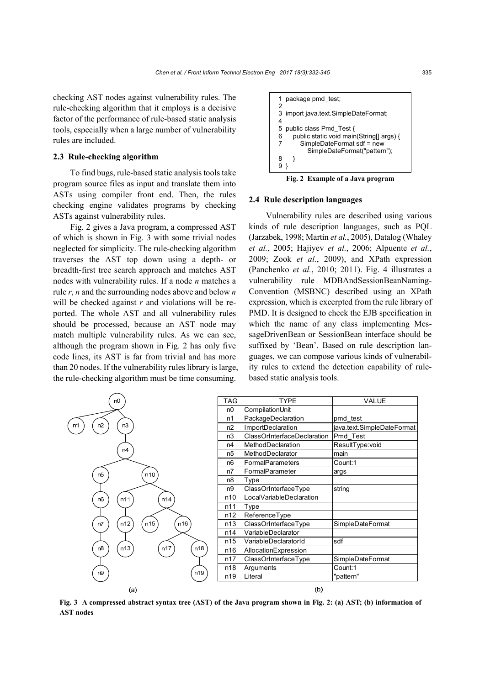checking AST nodes against vulnerability rules. The rule-checking algorithm that it employs is a decisive factor of the performance of rule-based static analysis tools, especially when a large number of vulnerability rules are included.

## **2.3 Rule-checking algorithm**

To find bugs, rule-based static analysis tools take program source files as input and translate them into ASTs using compiler front end. Then, the rules checking engine validates programs by checking ASTs against vulnerability rules.

Fig. 2 gives a Java program, a compressed AST of which is shown in Fig. 3 with some trivial nodes neglected for simplicity. The rule-checking algorithm traverses the AST top down using a depth- or breadth-first tree search approach and matches AST nodes with vulnerability rules. If a node *n* matches a rule *r*, *n* and the surrounding nodes above and below *n* will be checked against *r* and violations will be reported. The whole AST and all vulnerability rules should be processed, because an AST node may match multiple vulnerability rules. As we can see, although the program shown in Fig. 2 has only five code lines, its AST is far from trivial and has more than 20 nodes. If the vulnerability rules library is large, the rule-checking algorithm must be time consuming.

```
1 package pmd_test; 
\mathcal{D}3 import java.text.SimpleDateFormat; 
\frac{4}{5}public class Pmd_Test {
6 public static void main(String[] args) { 
7 SimpleDateFormat sdf = new
            SimpleDateFormat("pattern"); 
8 } 
9 }
```
**Fig. 2 Example of a Java program** 

## **2.4 Rule description languages**

Vulnerability rules are described using various kinds of rule description languages, such as PQL (Jarzabek, 1998; Martin *et al.*, 2005), Datalog (Whaley *et al.*, 2005; Hajiyev *et al.*, 2006; Alpuente *et al.*, 2009; Zook *et al.*, 2009), and XPath expression (Panchenko *et al.*, 2010; 2011). Fig. 4 illustrates a vulnerability rule MDBAndSessionBeanNaming-Convention (MSBNC) described using an XPath expression, which is excerpted from the rule library of PMD. It is designed to check the EJB specification in which the name of any class implementing MessageDrivenBean or SessionBean interface should be suffixed by 'Bean'. Based on rule description languages, we can compose various kinds of vulnerability rules to extend the detection capability of rulebased static analysis tools.



**Fig. 3 A compressed abstract syntax tree (AST) of the Java program shown in Fig. 2: (a) AST; (b) information of AST nodes**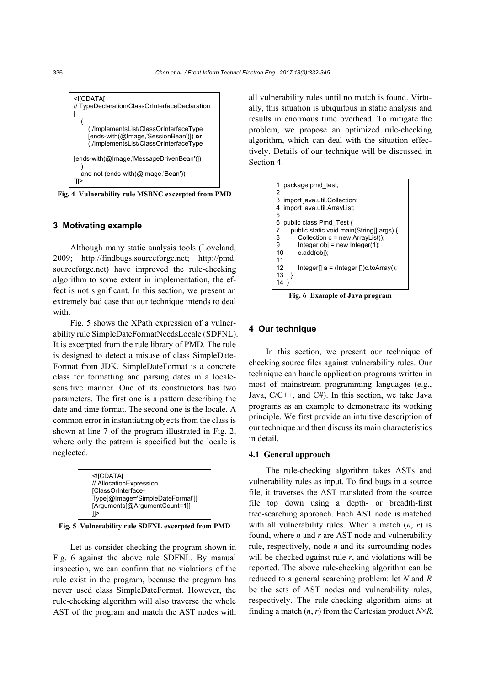

**Fig. 4 Vulnerability rule MSBNC excerpted from PMD** 

# **3 Motivating example**

Although many static analysis tools (Loveland, 2009; http://findbugs.sourceforge.net; http://pmd. sourceforge.net) have improved the rule-checking algorithm to some extent in implementation, the effect is not significant. In this section, we present an extremely bad case that our technique intends to deal with.

Fig. 5 shows the XPath expression of a vulnerability rule SimpleDateFormatNeedsLocale (SDFNL). It is excerpted from the rule library of PMD. The rule is designed to detect a misuse of class SimpleDate-Format from JDK. SimpleDateFormat is a concrete class for formatting and parsing dates in a localesensitive manner. One of its constructors has two parameters. The first one is a pattern describing the date and time format. The second one is the locale. A common error in instantiating objects from the class is shown at line 7 of the program illustrated in Fig. 2, where only the pattern is specified but the locale is neglected.



**Fig. 5 Vulnerability rule SDFNL excerpted from PMD** 

Let us consider checking the program shown in Fig. 6 against the above rule SDFNL. By manual inspection, we can confirm that no violations of the rule exist in the program, because the program has never used class SimpleDateFormat. However, the rule-checking algorithm will also traverse the whole AST of the program and match the AST nodes with

all vulnerability rules until no match is found. Virtually, this situation is ubiquitous in static analysis and results in enormous time overhead. To mitigate the problem, we propose an optimized rule-checking algorithm, which can deal with the situation effectively. Details of our technique will be discussed in Section 4.

```
1 package pmd_test; 
\overline{2}3 import java.util.Collection;<br>4 import java.util.ArrayList:
   import java.util.ArrayList;
5 
6 public class Pmd_Test { 
7 public static void main(String[] args) {<br>8 Collection c = new Arrayl ist():
         Collection c = new ArrayList();
9 Integer obj = new Integer(1);
10 c.add(obj); 
11 
12 Integer[] a = (Integer [])c.toArray();
13 } 
14 }
```
**Fig. 6 Example of Java program** 

#### **4 Our technique**

In this section, we present our technique of checking source files against vulnerability rules. Our technique can handle application programs written in most of mainstream programming languages (e.g., Java,  $C/C++$ , and  $C#$ ). In this section, we take Java programs as an example to demonstrate its working principle. We first provide an intuitive description of our technique and then discuss its main characteristics in detail.

#### **4.1 General approach**

The rule-checking algorithm takes ASTs and vulnerability rules as input. To find bugs in a source file, it traverses the AST translated from the source file top down using a depth- or breadth-first tree-searching approach. Each AST node is matched with all vulnerability rules. When a match (*n*, *r*) is found, where *n* and *r* are AST node and vulnerability rule, respectively, node *n* and its surrounding nodes will be checked against rule *r*, and violations will be reported. The above rule-checking algorithm can be reduced to a general searching problem: let *N* and *R*  be the sets of AST nodes and vulnerability rules, respectively. The rule-checking algorithm aims at finding a match  $(n, r)$  from the Cartesian product  $N \times R$ .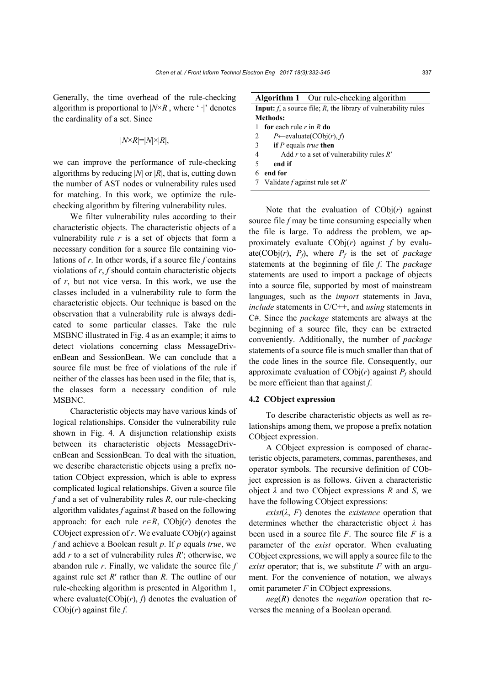Generally, the time overhead of the rule-checking algorithm is proportional to  $|N \times R|$ , where '|·|' denotes the cardinality of a set. Since

$$
|N \times R| = |N| \times |R|,
$$

we can improve the performance of rule-checking algorithms by reducing |*N*| or |*R*|, that is, cutting down the number of AST nodes or vulnerability rules used for matching. In this work, we optimize the rulechecking algorithm by filtering vulnerability rules.

We filter vulnerability rules according to their characteristic objects. The characteristic objects of a vulnerability rule  $r$  is a set of objects that form a necessary condition for a source file containing violations of *r*. In other words, if a source file *f* contains violations of *r*, *f* should contain characteristic objects of *r*, but not vice versa. In this work, we use the classes included in a vulnerability rule to form the characteristic objects. Our technique is based on the observation that a vulnerability rule is always dedicated to some particular classes. Take the rule MSBNC illustrated in Fig. 4 as an example; it aims to detect violations concerning class MessageDrivenBean and SessionBean. We can conclude that a source file must be free of violations of the rule if neither of the classes has been used in the file; that is, the classes form a necessary condition of rule MSBNC.

Characteristic objects may have various kinds of logical relationships. Consider the vulnerability rule shown in Fig. 4. A disjunction relationship exists between its characteristic objects MessageDrivenBean and SessionBean. To deal with the situation, we describe characteristic objects using a prefix notation CObject expression, which is able to express complicated logical relationships. Given a source file *f* and a set of vulnerability rules *R*, our rule-checking algorithm validates *f* against *R* based on the following approach: for each rule  $r \in R$ , CObj(*r*) denotes the CObject expression of  $r$ . We evaluate  $\text{CObj}(r)$  against *f* and achieve a Boolean result *p*. If *p* equals *true*, we add *r* to a set of vulnerability rules *R*′; otherwise, we abandon rule *r*. Finally, we validate the source file *f* against rule set *R*′ rather than *R*. The outline of our rule-checking algorithm is presented in Algorithm 1, where evaluate( $\text{CObj}(r)$ ,  $f$ ) denotes the evaluation of CObj(*r*) against file *f*.

| <b>Algorithm 1</b> Our rule-checking algorithm                              |
|-----------------------------------------------------------------------------|
| <b>Input:</b> $f$ , a source file; $R$ , the library of vulnerability rules |
| Methods:                                                                    |
| for each rule $r$ in $R$ do                                                 |
| 2<br>$P \leftarrow$ evaluate(CObj(r), f)                                    |
| 3<br>if $P$ equals true then                                                |
| Add r to a set of vulnerability rules $R'$<br>4                             |
| 5<br>end if                                                                 |
| end for<br>6                                                                |
| Validate f against rule set $R'$                                            |

Note that the evaluation of  $COb*i*(r)$  against source file *f* may be time consuming especially when the file is large. To address the problem, we approximately evaluate CObj(*r*) against *f* by evaluate(CObj $(r)$ ,  $P_f$ ), where  $P_f$  is the set of *package* statements at the beginning of file *f*. The *package* statements are used to import a package of objects into a source file, supported by most of mainstream languages, such as the *import* statements in Java, *include* statements in C/C++, and *using* statements in C#. Since the *package* statements are always at the beginning of a source file, they can be extracted conveniently. Additionally, the number of *package* statements of a source file is much smaller than that of the code lines in the source file. Consequently, our approximate evaluation of  $\text{CObj}(r)$  against  $P_f$  should be more efficient than that against *f*.

#### **4.2 CObject expression**

To describe characteristic objects as well as relationships among them, we propose a prefix notation CObject expression.

A CObject expression is composed of characteristic objects, parameters, commas, parentheses, and operator symbols. The recursive definition of CObject expression is as follows. Given a characteristic object  $λ$  and two CObject expressions  $R$  and  $S$ , we have the following CObject expressions:

 $exist(\lambda, F)$  denotes the *existence* operation that determines whether the characteristic object *λ* has been used in a source file *F*. The source file *F* is a parameter of the *exist* operator. When evaluating CObject expressions, we will apply a source file to the *exist* operator; that is, we substitute *F* with an argument. For the convenience of notation, we always omit parameter *F* in CObject expressions.

*neg*(*R*) denotes the *negation* operation that reverses the meaning of a Boolean operand.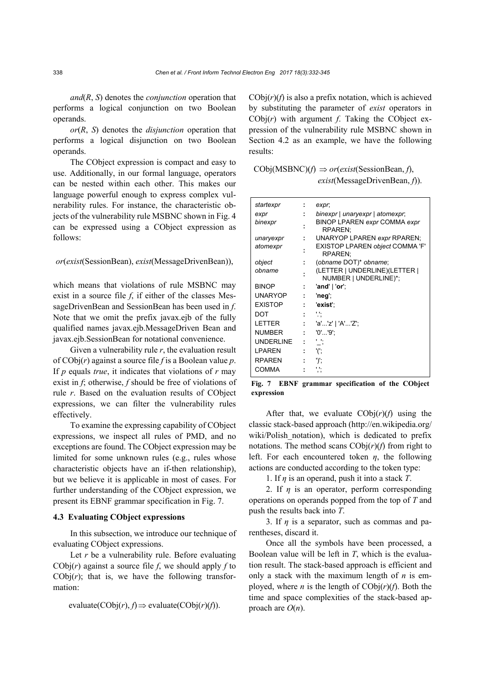*and*(*R*, *S*) denotes the *conjunction* operation that performs a logical conjunction on two Boolean operands.

*or*(*R*, *S*) denotes the *disjunction* operation that performs a logical disjunction on two Boolean operands.

The CObject expression is compact and easy to use. Additionally, in our formal language, operators can be nested within each other. This makes our language powerful enough to express complex vulnerability rules. For instance, the characteristic objects of the vulnerability rule MSBNC shown in Fig. 4 can be expressed using a CObject expression as follows:

# *or*(*exist*(SessionBean), *exist*(MessageDrivenBean)),

which means that violations of rule MSBNC may exist in a source file *f*, if either of the classes MessageDrivenBean and SessionBean has been used in *f*. Note that we omit the prefix javax.ejb of the fully qualified names javax.ejb.MessageDriven Bean and javax.ejb.SessionBean for notational convenience.

Given a vulnerability rule *r*, the evaluation result of CObj(*r*) against a source file *f* is a Boolean value *p*. If *p* equals *true*, it indicates that violations of *r* may exist in *f*; otherwise, *f* should be free of violations of rule *r*. Based on the evaluation results of CObject expressions, we can filter the vulnerability rules effectively.

To examine the expressing capability of CObject expressions, we inspect all rules of PMD, and no exceptions are found. The CObject expression may be limited for some unknown rules (e.g., rules whose characteristic objects have an if-then relationship), but we believe it is applicable in most of cases. For further understanding of the CObject expression, we present its EBNF grammar specification in Fig. 7.

#### **4.3 Evaluating CObject expressions**

In this subsection, we introduce our technique of evaluating CObject expressions.

Let *r* be a vulnerability rule. Before evaluating  $CObj(r)$  against a source file *f*, we should apply *f* to  $CObj(r)$ ; that is, we have the following transformation:

$$
evaluate(CObj(r), f) \Rightarrow evaluate(CObj(r)(f)).
$$

 $CObj(r)(f)$  is also a prefix notation, which is achieved by substituting the parameter of *exist* operators in CObj(*r*) with argument *f*. Taking the CObject expression of the vulnerability rule MSBNC shown in Section 4.2 as an example, we have the following results:

| $\text{CObj}(MSBNC)(f) \Rightarrow \text{or}(exist(\text{SessionBean}, f),$ |
|-----------------------------------------------------------------------------|
| exist(MessageDirivenBean, f).                                               |

| startexpr      |   | expr,                                                  |
|----------------|---|--------------------------------------------------------|
| expr           |   | binexpr   unaryexpr   atomexpr;                        |
| binexpr        |   | <b>BINOP LPAREN expr COMMA expr</b><br>RPAREN:         |
| unaryexpr      |   | <b>UNARYOP LPAREN expr RPAREN;</b>                     |
| atomexpr       |   | EXISTOP LPAREN object COMMA 'F'<br>RPAREN:             |
| object         |   | (obname DOT)* obname;                                  |
| obname         |   | (LETTER   UNDERLINE)(LETTER  <br>NUMBER   UNDERLINE)*; |
| <b>BINOP</b>   |   | 'and'   'or';                                          |
| <b>UNARYOP</b> | ÷ | 'neg';                                                 |
| <b>EXISTOP</b> | ÷ | 'exist':                                               |
| DOT            |   |                                                        |
| LETTER         | t | 'a''z'   'A''Z';                                       |
| <b>NUMBER</b>  |   | '0''9'                                                 |
| UNDERLINE      |   | н.,                                                    |
| <b>LPAREN</b>  |   | '(';                                                   |
| <b>RPAREN</b>  |   | ')';                                                   |
| <b>COMMA</b>   |   |                                                        |
|                |   |                                                        |

**Fig. 7 EBNF grammar specification of the CObject expression** 

After that, we evaluate  $\text{CObj}(r)(f)$  using the classic stack-based approach (http://en.wikipedia.org/ wiki/Polish notation), which is dedicated to prefix notations. The method scans  $CObj(r)(f)$  from right to left. For each encountered token *η*, the following actions are conducted according to the token type:

1. If *η* is an operand, push it into a stack *T*.

2. If  $\eta$  is an operator, perform corresponding operations on operands popped from the top of *T* and push the results back into *T*.

3. If *η* is a separator, such as commas and parentheses, discard it.

Once all the symbols have been processed, a Boolean value will be left in *T*, which is the evaluation result. The stack-based approach is efficient and only a stack with the maximum length of *n* is employed, where *n* is the length of  $\text{CObj}(r)(f)$ . Both the time and space complexities of the stack-based approach are  $O(n)$ .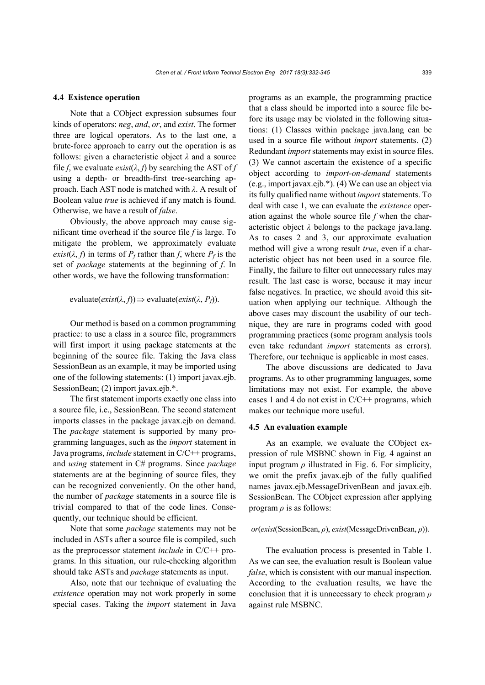#### **4.4 Existence operation**

Note that a CObject expression subsumes four kinds of operators: *neg*, *and*, *or*, and *exist*. The former three are logical operators. As to the last one, a brute-force approach to carry out the operation is as follows: given a characteristic object *λ* and a source file *f*, we evaluate  $\text{exist}(\lambda, f)$  by searching the AST of *f* using a depth- or breadth-first tree-searching approach. Each AST node is matched with *λ*. A result of Boolean value *true* is achieved if any match is found. Otherwise, we have a result of *false*.

Obviously, the above approach may cause significant time overhead if the source file *f* is large. To mitigate the problem, we approximately evaluate *exist*( $\lambda$ ,  $f$ ) in terms of  $P_f$  rather than  $f$ , where  $P_f$  is the set of *package* statements at the beginning of *f*. In other words, we have the following transformation:

 $evaluate(exist(\lambda, f)) \Rightarrow evaluate(exist(\lambda, P_f)).$ 

Our method is based on a common programming practice: to use a class in a source file, programmers will first import it using package statements at the beginning of the source file. Taking the Java class SessionBean as an example, it may be imported using one of the following statements: (1) import javax.ejb. SessionBean; (2) import javax.ejb.\*.

The first statement imports exactly one class into a source file, i.e., SessionBean. The second statement imports classes in the package javax.ejb on demand. The *package* statement is supported by many programming languages, such as the *import* statement in Java programs, *include* statement in C/C++ programs, and *using* statement in C# programs. Since *package* statements are at the beginning of source files, they can be recognized conveniently. On the other hand, the number of *package* statements in a source file is trivial compared to that of the code lines. Consequently, our technique should be efficient.

Note that some *package* statements may not be included in ASTs after a source file is compiled, such as the preprocessor statement *include* in C/C++ programs. In this situation, our rule-checking algorithm should take ASTs and *package* statements as input.

Also, note that our technique of evaluating the *existence* operation may not work properly in some special cases. Taking the *import* statement in Java programs as an example, the programming practice that a class should be imported into a source file before its usage may be violated in the following situations: (1) Classes within package java.lang can be used in a source file without *import* statements. (2) Redundant *import* statements may exist in source files. (3) We cannot ascertain the existence of a specific object according to *import-on-demand* statements (e.g., import javax.ejb.\*). (4) We can use an object via its fully qualified name without *import* statements. To deal with case 1, we can evaluate the *existence* operation against the whole source file *f* when the characteristic object *λ* belongs to the package java.lang. As to cases 2 and 3, our approximate evaluation method will give a wrong result *true*, even if a characteristic object has not been used in a source file. Finally, the failure to filter out unnecessary rules may result. The last case is worse, because it may incur false negatives. In practice, we should avoid this situation when applying our technique. Although the above cases may discount the usability of our technique, they are rare in programs coded with good programming practices (some program analysis tools even take redundant *import* statements as errors). Therefore, our technique is applicable in most cases.

The above discussions are dedicated to Java programs. As to other programming languages, some limitations may not exist. For example, the above cases 1 and 4 do not exist in  $C/C++$  programs, which makes our technique more useful.

#### **4.5 An evaluation example**

As an example, we evaluate the CObject expression of rule MSBNC shown in Fig. 4 against an input program  $\rho$  illustrated in Fig. 6. For simplicity, we omit the prefix javax.ejb of the fully qualified names javax.ejb.MessageDrivenBean and javax.ejb. SessionBean. The CObject expression after applying program  $\rho$  is as follows:

#### *or*(*exist*(SessionBean, *ρ*), *exist*(MessageDrivenBean, *ρ*)).

The evaluation process is presented in Table 1. As we can see, the evaluation result is Boolean value *false*, which is consistent with our manual inspection. According to the evaluation results, we have the conclusion that it is unnecessary to check program *ρ* against rule MSBNC.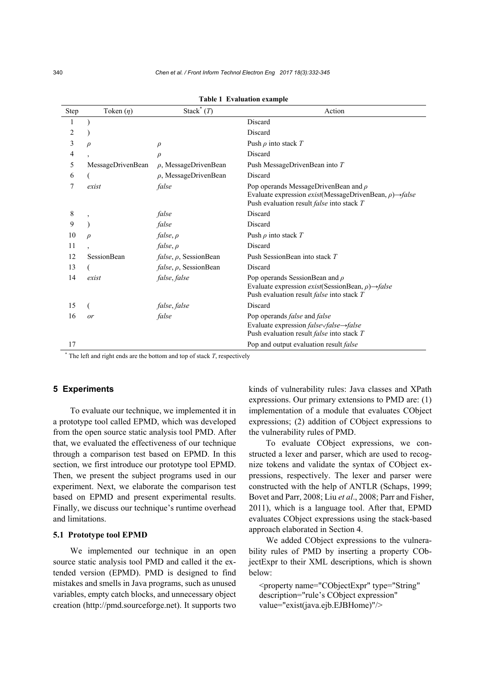| Step | Token $(\eta)$    | Stack <sup>*</sup> $(T)$    | Action                                                                                                                                                                                    |
|------|-------------------|-----------------------------|-------------------------------------------------------------------------------------------------------------------------------------------------------------------------------------------|
|      |                   |                             | Discard                                                                                                                                                                                   |
| 2    |                   |                             | Discard                                                                                                                                                                                   |
| 3    | $\rho$            | $\rho$                      | Push $\rho$ into stack T                                                                                                                                                                  |
| 4    |                   | $\rho$                      | Discard                                                                                                                                                                                   |
| 5    | MessageDrivenBean | $\rho$ , MessageDrivenBean  | Push MessageDrivenBean into T                                                                                                                                                             |
| 6    |                   | $\rho$ , MessageDrivenBean  | Discard                                                                                                                                                                                   |
| 7    | exist             | false                       | Pop operands MessageDrivenBean and $\rho$<br>Evaluate expression <i>exist</i> (MessageDrivenBean, $\rho$ ) $\rightarrow$ <i>false</i><br>Push evaluation result <i>false</i> into stack T |
| 8    |                   | false                       | Discard                                                                                                                                                                                   |
| 9    |                   | false                       | Discard                                                                                                                                                                                   |
| 10   | $\mathcal{D}$     | false, $\rho$               | Push $\rho$ into stack T                                                                                                                                                                  |
| 11   |                   | false, p                    | Discard                                                                                                                                                                                   |
| 12   | SessionBean       | $false, \rho$ , SessionBean | Push SessionBean into stack T                                                                                                                                                             |
| 13   |                   | $false, \rho$ , SessionBean | Discard                                                                                                                                                                                   |
| 14   | exist             | false, false                | Pop operands SessionBean and $\rho$<br>Evaluate expression <i>exist</i> (SessionBean, $\rho$ ) $\rightarrow$ <i>false</i><br>Push evaluation result <i>false</i> into stack T             |
| 15   |                   | false, false                | Discard                                                                                                                                                                                   |
| 16   | or                | false                       | Pop operands <i>false</i> and <i>false</i><br>Evaluate expression $false \rightarrow false$<br>Push evaluation result <i>false</i> into stack T                                           |
| 17   |                   |                             | Pop and output evaluation result false                                                                                                                                                    |

**Table 1 Evaluation example**

 $*$  The left and right ends are the bottom and top of stack  $T$ , respectively

# **5 Experiments**

To evaluate our technique, we implemented it in a prototype tool called EPMD, which was developed from the open source static analysis tool PMD. After that, we evaluated the effectiveness of our technique through a comparison test based on EPMD. In this section, we first introduce our prototype tool EPMD. Then, we present the subject programs used in our experiment. Next, we elaborate the comparison test based on EPMD and present experimental results. Finally, we discuss our technique's runtime overhead and limitations.

#### **5.1 Prototype tool EPMD**

We implemented our technique in an open source static analysis tool PMD and called it the extended version (EPMD). PMD is designed to find mistakes and smells in Java programs, such as unused variables, empty catch blocks, and unnecessary object creation (http://pmd.sourceforge.net). It supports two kinds of vulnerability rules: Java classes and XPath expressions. Our primary extensions to PMD are: (1) implementation of a module that evaluates CObject expressions; (2) addition of CObject expressions to the vulnerability rules of PMD.

To evaluate CObject expressions, we constructed a lexer and parser, which are used to recognize tokens and validate the syntax of CObject expressions, respectively. The lexer and parser were constructed with the help of ANTLR (Schaps, 1999; Bovet and Parr, 2008; Liu *et al*., 2008; Parr and Fisher, 2011), which is a language tool. After that, EPMD evaluates CObject expressions using the stack-based approach elaborated in Section 4.

We added CObject expressions to the vulnerability rules of PMD by inserting a property CObjectExpr to their XML descriptions, which is shown below:

<property name="CObjectExpr" type="String" description="rule's CObject expression" value="exist(java.ejb.EJBHome)"/>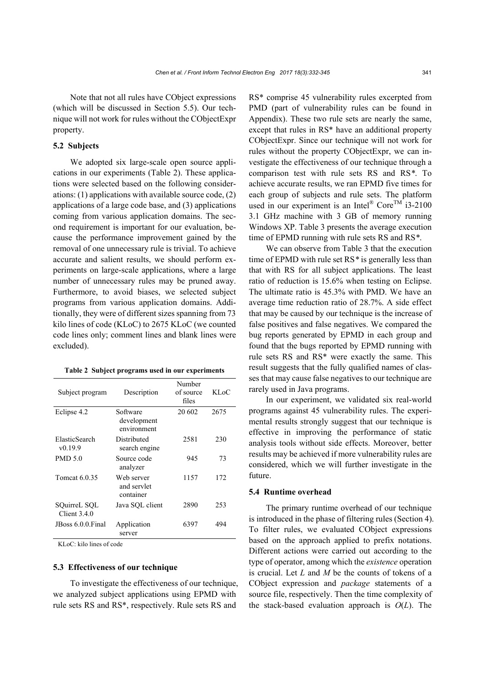Note that not all rules have CObject expressions (which will be discussed in Section 5.5). Our technique will not work for rules without the CObjectExpr property.

# **5.2 Subjects**

We adopted six large-scale open source applications in our experiments (Table 2). These applications were selected based on the following considerations: (1) applications with available source code, (2) applications of a large code base, and (3) applications coming from various application domains. The second requirement is important for our evaluation, because the performance improvement gained by the removal of one unnecessary rule is trivial. To achieve accurate and salient results, we should perform experiments on large-scale applications, where a large number of unnecessary rules may be pruned away. Furthermore, to avoid biases, we selected subject programs from various application domains. Additionally, they were of different sizes spanning from 73 kilo lines of code (KLoC) to 2675 KLoC (we counted code lines only; comment lines and blank lines were excluded).

|  |  | Table 2 Subject programs used in our experiments |
|--|--|--------------------------------------------------|
|  |  |                                                  |

| Subject program                | Description                            | Number<br>of source<br>files | KL oC |
|--------------------------------|----------------------------------------|------------------------------|-------|
| Eclipse 4.2                    | Software<br>development<br>environment | 20 602                       | 2675  |
| ElasticSearch<br>v0.19.9       | Distributed<br>search engine           | 2581                         | 230   |
| PMD 5.0                        | Source code<br>analyzer                | 945                          | 73    |
| Tomcat 6.0.35                  | Web server<br>and servlet<br>container | 1157                         | 172   |
| SQuirreL SQL<br>Client $3.4.0$ | Java SQL client                        | 2890                         | 253   |
| JBoss 6.0.0 Final              | Application<br>server                  | 6397                         | 494   |

KLoC: kilo lines of code

#### **5.3 Effectiveness of our technique**

To investigate the effectiveness of our technique, we analyzed subject applications using EPMD with rule sets RS and RS\*, respectively. Rule sets RS and

RS\* comprise 45 vulnerability rules excerpted from PMD (part of vulnerability rules can be found in Appendix). These two rule sets are nearly the same, except that rules in RS\* have an additional property CObjectExpr. Since our technique will not work for rules without the property CObjectExpr, we can investigate the effectiveness of our technique through a comparison test with rule sets RS and RS*\**. To achieve accurate results, we ran EPMD five times for each group of subjects and rule sets. The platform used in our experiment is an Intel®  $\text{Core}^{\text{TM}}$  i3-2100 3.1 GHz machine with 3 GB of memory running Windows XP. Table 3 presents the average execution time of EPMD running with rule sets RS and RS*\**.

We can observe from Table 3 that the execution time of EPMD with rule set RS*\** is generally less than that with RS for all subject applications. The least ratio of reduction is 15.6% when testing on Eclipse. The ultimate ratio is 45.3% with PMD. We have an average time reduction ratio of 28.7%. A side effect that may be caused by our technique is the increase of false positives and false negatives. We compared the bug reports generated by EPMD in each group and found that the bugs reported by EPMD running with rule sets RS and RS\* were exactly the same. This result suggests that the fully qualified names of classes that may cause false negatives to our technique are rarely used in Java programs.

In our experiment, we validated six real-world programs against 45 vulnerability rules. The experimental results strongly suggest that our technique is effective in improving the performance of static analysis tools without side effects. Moreover, better results may be achieved if more vulnerability rules are considered, which we will further investigate in the future.

#### **5.4 Runtime overhead**

The primary runtime overhead of our technique is introduced in the phase of filtering rules (Section 4). To filter rules, we evaluated CObject expressions based on the approach applied to prefix notations. Different actions were carried out according to the type of operator, among which the *existence* operation is crucial. Let *L* and *M* be the counts of tokens of a CObject expression and *package* statements of a source file, respectively. Then the time complexity of the stack-based evaluation approach is *O*(*L*). The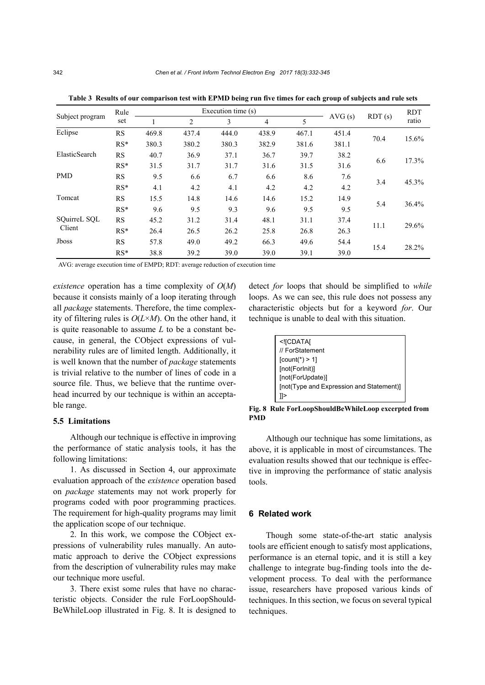| Rule            |           |       |       | Execution time (s) |       |       |        |        | <b>RDT</b> |
|-----------------|-----------|-------|-------|--------------------|-------|-------|--------|--------|------------|
| Subject program | set       |       | 2     | 3                  | 4     | 5     | AVG(s) | RDT(s) | ratio      |
| Eclipse         | <b>RS</b> | 469.8 | 437.4 | 444.0              | 438.9 | 467.1 | 451.4  | 70.4   | 15.6%      |
|                 | $RS*$     | 380.3 | 380.2 | 380.3              | 382.9 | 381.6 | 381.1  |        |            |
| ElasticSearch   | RS        | 40.7  | 36.9  | 37.1               | 36.7  | 39.7  | 38.2   | 6.6    |            |
|                 | $RS*$     | 31.5  | 31.7  | 31.7               | 31.6  | 31.5  | 31.6   |        | 17.3%      |
| <b>PMD</b>      | RS        | 9.5   | 6.6   | 6.7                | 6.6   | 8.6   | 7.6    | 3.4    |            |
|                 | $RS*$     | 4.1   | 4.2   | 4.1                | 4.2   | 4.2   | 4.2    |        | 45.3%      |
| Tomcat          | <b>RS</b> | 15.5  | 14.8  | 14.6               | 14.6  | 15.2  | 14.9   | 5.4    | 36.4%      |
|                 | $RS*$     | 9.6   | 9.5   | 9.3                | 9.6   | 9.5   | 9.5    |        |            |
| SQuirreL SQL    | RS        | 45.2  | 31.2  | 31.4               | 48.1  | 31.1  | 37.4   | 11.1   |            |
| Client          | $RS*$     | 26.4  | 26.5  | 26.2               | 25.8  | 26.8  | 26.3   |        | 29.6%      |
| <b>Jboss</b>    | <b>RS</b> | 57.8  | 49.0  | 49.2               | 66.3  | 49.6  | 54.4   |        |            |
|                 | $RS*$     | 38.8  | 39.2  | 39.0               | 39.0  | 39.1  | 39.0   | 15.4   | 28.2%      |

**Table 3 Results of our comparison test with EPMD being run five times for each group of subjects and rule sets** 

AVG: average execution time of EMPD; RDT: average reduction of execution time

*existence* operation has a time complexity of *O*(*M*) because it consists mainly of a loop iterating through all *package* statements. Therefore, the time complexity of filtering rules is *O*(*L*×*M*). On the other hand, it is quite reasonable to assume *L* to be a constant because, in general, the CObject expressions of vulnerability rules are of limited length. Additionally, it is well known that the number of *package* statements is trivial relative to the number of lines of code in a source file. Thus, we believe that the runtime overhead incurred by our technique is within an acceptable range.

#### **5.5 Limitations**

Although our technique is effective in improving the performance of static analysis tools, it has the following limitations:

1. As discussed in Section 4, our approximate evaluation approach of the *existence* operation based on *package* statements may not work properly for programs coded with poor programming practices. The requirement for high-quality programs may limit the application scope of our technique.

2. In this work, we compose the CObject expressions of vulnerability rules manually. An automatic approach to derive the CObject expressions from the description of vulnerability rules may make our technique more useful.

3. There exist some rules that have no characteristic objects. Consider the rule ForLoopShould-BeWhileLoop illustrated in Fig. 8. It is designed to detect *for* loops that should be simplified to *while*  loops. As we can see, this rule does not possess any characteristic objects but for a keyword *for*. Our technique is unable to deal with this situation.

| <![CDATA[</th>                           |
|------------------------------------------|
| // ForStatement                          |
| $[count(*) > 1]$                         |
| [not(ForInit)]                           |
| [not(ForUpdate)]                         |
| [not(Type and Expression and Statement)] |
|                                          |
|                                          |

**Fig. 8 Rule ForLoopShouldBeWhileLoop excerpted from PMD** 

Although our technique has some limitations, as above, it is applicable in most of circumstances. The evaluation results showed that our technique is effective in improving the performance of static analysis tools.

#### **6 Related work**

Though some state-of-the-art static analysis tools are efficient enough to satisfy most applications, performance is an eternal topic, and it is still a key challenge to integrate bug-finding tools into the development process. To deal with the performance issue, researchers have proposed various kinds of techniques. In this section, we focus on several typical techniques.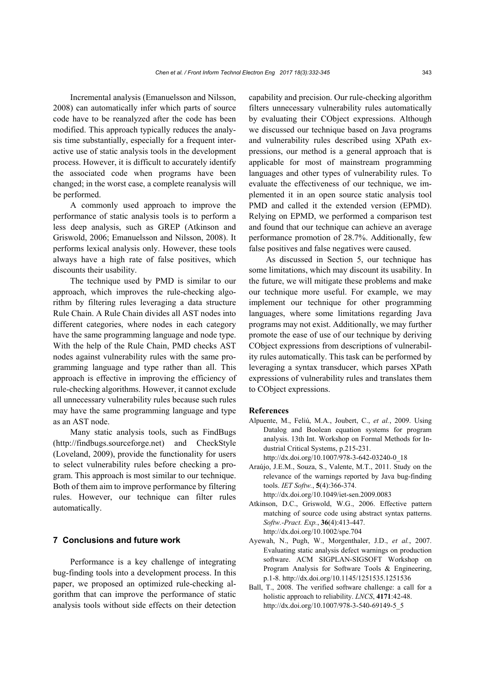Incremental analysis (Emanuelsson and Nilsson, 2008) can automatically infer which parts of source code have to be reanalyzed after the code has been modified. This approach typically reduces the analysis time substantially, especially for a frequent interactive use of static analysis tools in the development process. However, it is difficult to accurately identify the associated code when programs have been changed; in the worst case, a complete reanalysis will be performed.

A commonly used approach to improve the performance of static analysis tools is to perform a less deep analysis, such as GREP (Atkinson and Griswold, 2006; Emanuelsson and Nilsson, 2008). It performs lexical analysis only. However, these tools always have a high rate of false positives, which discounts their usability.

The technique used by PMD is similar to our approach, which improves the rule-checking algorithm by filtering rules leveraging a data structure Rule Chain. A Rule Chain divides all AST nodes into different categories, where nodes in each category have the same programming language and node type. With the help of the Rule Chain, PMD checks AST nodes against vulnerability rules with the same programming language and type rather than all. This approach is effective in improving the efficiency of rule-checking algorithms. However, it cannot exclude all unnecessary vulnerability rules because such rules may have the same programming language and type as an AST node.

Many static analysis tools, such as FindBugs (http://findbugs.sourceforge.net) and CheckStyle (Loveland, 2009), provide the functionality for users to select vulnerability rules before checking a program. This approach is most similar to our technique. Both of them aim to improve performance by filtering rules. However, our technique can filter rules automatically.

# **7 Conclusions and future work**

Performance is a key challenge of integrating bug-finding tools into a development process. In this paper, we proposed an optimized rule-checking algorithm that can improve the performance of static analysis tools without side effects on their detection capability and precision. Our rule-checking algorithm filters unnecessary vulnerability rules automatically by evaluating their CObject expressions. Although we discussed our technique based on Java programs and vulnerability rules described using XPath expressions, our method is a general approach that is applicable for most of mainstream programming languages and other types of vulnerability rules. To evaluate the effectiveness of our technique, we implemented it in an open source static analysis tool PMD and called it the extended version (EPMD). Relying on EPMD, we performed a comparison test and found that our technique can achieve an average performance promotion of 28.7%. Additionally, few false positives and false negatives were caused.

As discussed in Section 5, our technique has some limitations, which may discount its usability. In the future, we will mitigate these problems and make our technique more useful. For example, we may implement our technique for other programming languages, where some limitations regarding Java programs may not exist. Additionally, we may further promote the ease of use of our technique by deriving CObject expressions from descriptions of vulnerability rules automatically. This task can be performed by leveraging a syntax transducer, which parses XPath expressions of vulnerability rules and translates them to CObject expressions.

#### **References**

Alpuente, M., Feliú, M.A., Joubert, C., *et al.*, 2009. Using Datalog and Boolean equation systems for program analysis. 13th Int. Workshop on Formal Methods for Industrial Critical Systems, p.215-231.

http://dx.doi.org/10.1007/978-3-642-03240-0\_18

- Araújo, J.E.M., Souza, S., Valente, M.T., 2011. Study on the relevance of the warnings reported by Java bug-finding tools. *IET Softw.*, **5**(4):366-374. http://dx.doi.org/10.1049/iet-sen.2009.0083
- Atkinson, D.C., Griswold, W.G., 2006. Effective pattern
- matching of source code using abstract syntax patterns. *Softw.-Pract. Exp.*, **36**(4):413-447. http://dx.doi.org/10.1002/spe.704
- Ayewah, N., Pugh, W., Morgenthaler, J.D., *et al.*, 2007. Evaluating static analysis defect warnings on production software. ACM SIGPLAN-SIGSOFT Workshop on Program Analysis for Software Tools & Engineering, p.1-8. http://dx.doi.org/10.1145/1251535.1251536
- Ball, T., 2008. The verified software challenge: a call for a holistic approach to reliability. *LNCS*, **4171**:42-48. http://dx.doi.org/10.1007/978-3-540-69149-5\_5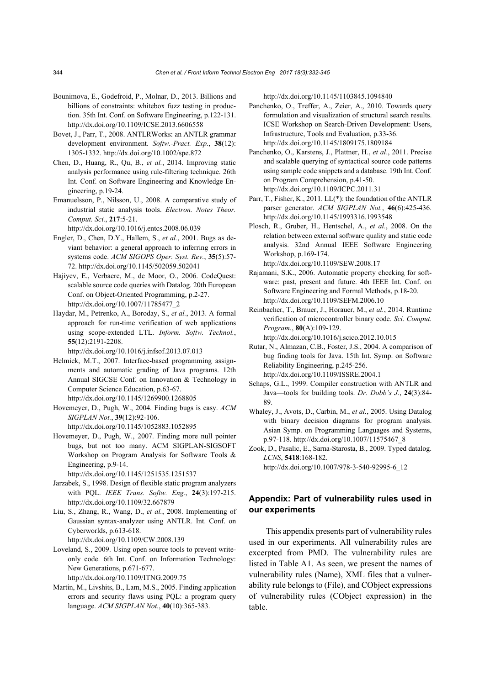- Bounimova, E., Godefroid, P., Molnar, D., 2013. Billions and billions of constraints: whitebox fuzz testing in production. 35th Int. Conf. on Software Engineering, p.122-131. http://dx.doi.org/10.1109/ICSE.2013.6606558
- Bovet, J., Parr, T., 2008. ANTLRWorks: an ANTLR grammar development environment. *Softw.-Pract. Exp.*, **38**(12): 1305-1332. http://dx.doi.org/10.1002/spe.872
- Chen, D., Huang, R., Qu, B., *et al.*, 2014. Improving static analysis performance using rule-filtering technique. 26th Int. Conf. on Software Engineering and Knowledge Engineering, p.19-24.
- Emanuelsson, P., Nilsson, U., 2008. A comparative study of industrial static analysis tools. *Electron. Notes Theor. Comput. Sci.*, **217**:5-21.

http://dx.doi.org/10.1016/j.entcs.2008.06.039

- Engler, D., Chen, D.Y., Hallem, S., *et al.*, 2001. Bugs as deviant behavior: a general approach to inferring errors in systems code. *ACM SIGOPS Oper. Syst. Rev.*, **35**(5):57- 72. http://dx.doi.org/10.1145/502059.502041
- Hajiyev, E., Verbaere, M., de Moor, O., 2006. CodeQuest: scalable source code queries with Datalog. 20th European Conf. on Object-Oriented Programming, p.2-27. http://dx.doi.org/10.1007/11785477\_2
- Haydar, M., Petrenko, A., Boroday, S., *et al.*, 2013. A formal approach for run-time verification of web applications using scope-extended LTL. *Inform. Softw. Technol.*, **55**(12):2191-2208.

http://dx.doi.org/10.1016/j.infsof.2013.07.013

- Helmick, M.T., 2007. Interface-based programming assignments and automatic grading of Java programs. 12th Annual SIGCSE Conf. on Innovation & Technology in Computer Science Education, p.63-67. http://dx.doi.org/10.1145/1269900.1268805
- Hovemeyer, D., Pugh, W., 2004. Finding bugs is easy. *ACM SIGPLAN Not.*, **39**(12):92-106. http://dx.doi.org/10.1145/1052883.1052895
- Hovemeyer, D., Pugh, W., 2007. Finding more null pointer bugs, but not too many. ACM SIGPLAN-SIGSOFT Workshop on Program Analysis for Software Tools &

Engineering, p.9-14. http://dx.doi.org/10.1145/1251535.1251537

- Jarzabek, S., 1998. Design of flexible static program analyzers with PQL. *IEEE Trans. Softw. Eng.*, **24**(3):197-215. http://dx.doi.org/10.1109/32.667879
- Liu, S., Zhang, R., Wang, D., *et al.*, 2008. Implementing of Gaussian syntax-analyzer using ANTLR. Int. Conf. on Cyberworlds, p.613-618. http://dx.doi.org/10.1109/CW.2008.139
- Loveland, S., 2009. Using open source tools to prevent writeonly code. 6th Int. Conf. on Information Technology: New Generations, p.671-677.
	- http://dx.doi.org/10.1109/ITNG.2009.75
- Martin, M., Livshits, B., Lam, M.S., 2005. Finding application errors and security flaws using PQL: a program query language. *ACM SIGPLAN Not.*, **40**(10):365-383.

http://dx.doi.org/10.1145/1103845.1094840

- Panchenko, O., Treffer, A., Zeier, A., 2010. Towards query formulation and visualization of structural search results. ICSE Workshop on Search-Driven Development: Users, Infrastructure, Tools and Evaluation, p.33-36. http://dx.doi.org/10.1145/1809175.1809184
- Panchenko, O., Karstens, J., Plattner, H., *et al*., 2011. Precise and scalable querying of syntactical source code patterns using sample code snippets and a database. 19th Int. Conf. on Program Comprehension, p.41-50. http://dx.doi.org/10.1109/ICPC.2011.31
- Parr, T., Fisher, K., 2011. LL(\*): the foundation of the ANTLR parser generator. *ACM SIGPLAN Not.*, **46**(6):425-436. http://dx.doi.org/10.1145/1993316.1993548
- Plosch, R., Gruber, H., Hentschel, A., *et al.*, 2008. On the relation between external software quality and static code analysis. 32nd Annual IEEE Software Engineering Workshop, p.169-174. http://dx.doi.org/10.1109/SEW.2008.17
- Rajamani, S.K., 2006. Automatic property checking for software: past, present and future. 4th IEEE Int. Conf. on Software Engineering and Formal Methods, p.18-20. http://dx.doi.org/10.1109/SEFM.2006.10
- Reinbacher, T., Brauer, J., Horauer, M., *et al.*, 2014. Runtime verification of microcontroller binary code. *Sci. Comput. Program.*, **80**(A):109-129. http://dx.doi.org/10.1016/j.scico.2012.10.015
- Rutar, N., Almazan, C.B., Foster, J.S., 2004. A comparison of bug finding tools for Java. 15th Int. Symp. on Software Reliability Engineering, p.245-256. http://dx.doi.org/10.1109/ISSRE.2004.1
- Schaps, G.L., 1999. Compiler construction with ANTLR and Java—tools for building tools. *Dr. Dobb's J.*, **24**(3):84- 89.
- Whaley, J., Avots, D., Carbin, M., *et al.*, 2005. Using Datalog with binary decision diagrams for program analysis. Asian Symp. on Programming Languages and Systems, p.97-118. http://dx.doi.org/10.1007/11575467\_8
- Zook, D., Pasalic, E., Sarna-Starosta, B., 2009. Typed datalog. *LCNS*, **5418**:168-182. http://dx.doi.org/10.1007/978-3-540-92995-6\_12

# **Appendix: Part of vulnerability rules used in our experiments**

This appendix presents part of vulnerability rules used in our experiments. All vulnerability rules are excerpted from PMD. The vulnerability rules are listed in Table A1. As seen, we present the names of vulnerability rules (Name), XML files that a vulnerability rule belongs to (File), and CObject expressions of vulnerability rules (CObject expression) in the table.